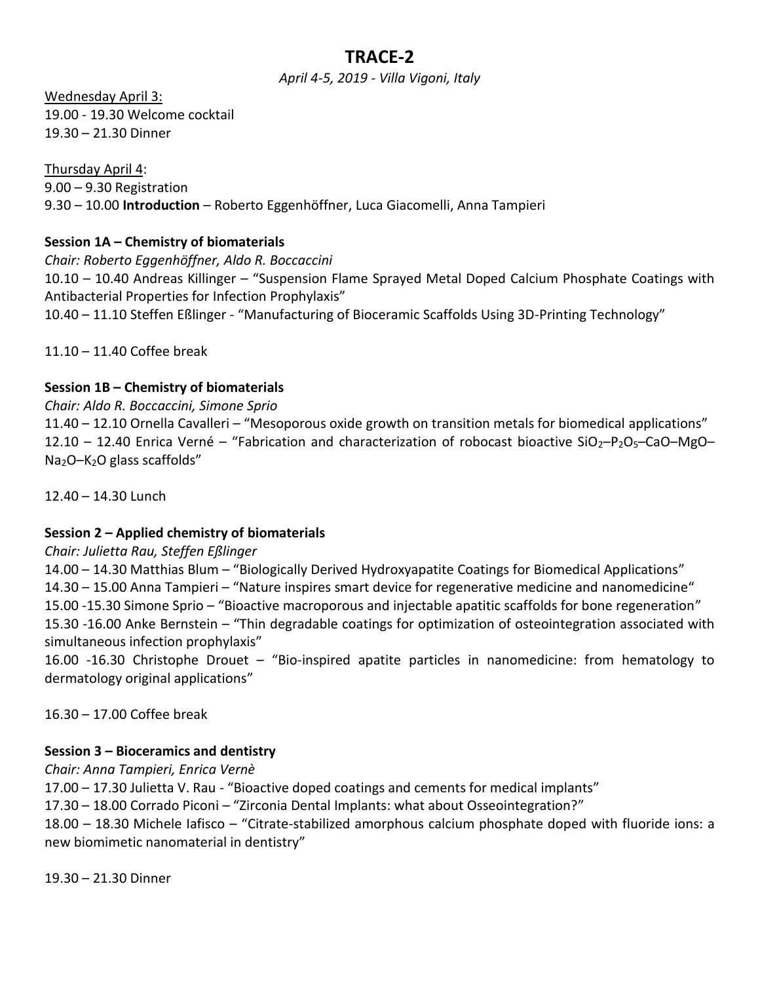# **TRACE-2**

*April 4-5, 2019 - Villa Vigoni, Italy*

Wednesday April 3: 19.00 - 19.30 Welcome cocktail 19.30 – 21.30 Dinner

Thursday April 4: 9.00 – 9.30 Registration 9.30 – 10.00 **Introduction** – Roberto Eggenhöffner, Luca Giacomelli, Anna Tampieri

### **Session 1A – Chemistry of biomaterials**

*Chair: Roberto Eggenhöffner, Aldo R. Boccaccini* 10.10 – 10.40 Andreas Killinger – "Suspension Flame Sprayed Metal Doped Calcium Phosphate Coatings with Antibacterial Properties for Infection Prophylaxis" 10.40 – 11.10 Steffen Eßlinger - "Manufacturing of Bioceramic Scaffolds Using 3D-Printing Technology"

11.10 – 11.40 Coffee break

### **Session 1B – Chemistry of biomaterials**

#### *Chair: Aldo R. Boccaccini, Simone Sprio*

11.40 – 12.10 Ornella Cavalleri – "Mesoporous oxide growth on transition metals for biomedical applications" 12.10 – 12.40 Enrica Verné – "Fabrication and characterization of robocast bioactive SiO<sub>2</sub>-P<sub>2</sub>O<sub>5</sub>-CaO–MgO– Na2O–K2O glass scaffolds"

12.40 – 14.30 Lunch

#### **Session 2 – Applied chemistry of biomaterials**

#### *Chair: Julietta Rau, Steffen Eßlinger*

14.00 – 14.30 Matthias Blum – "Biologically Derived Hydroxyapatite Coatings for Biomedical Applications" 14.30 – 15.00 Anna Tampieri – "Nature inspires smart device for regenerative medicine and nanomedicine" 15.00 -15.30 Simone Sprio – "Bioactive macroporous and injectable apatitic scaffolds for bone regeneration" 15.30 -16.00 Anke Bernstein – "Thin degradable coatings for optimization of osteointegration associated with simultaneous infection prophylaxis"

16.00 -16.30 Christophe Drouet – "Bio-inspired apatite particles in nanomedicine: from hematology to dermatology original applications"

16.30 – 17.00 Coffee break

#### **Session 3 – Bioceramics and dentistry**

*Chair: Anna Tampieri, Enrica Vernè*

17.00 – 17.30 Julietta V. Rau - "Bioactive doped coatings and cements for medical implants"

17.30 – 18.00 Corrado Piconi – "Zirconia Dental Implants: what about Osseointegration?"

18.00 – 18.30 Michele Iafisco – "Citrate-stabilized amorphous calcium phosphate doped with fluoride ions: a new biomimetic nanomaterial in dentistry"

19.30 – 21.30 Dinner